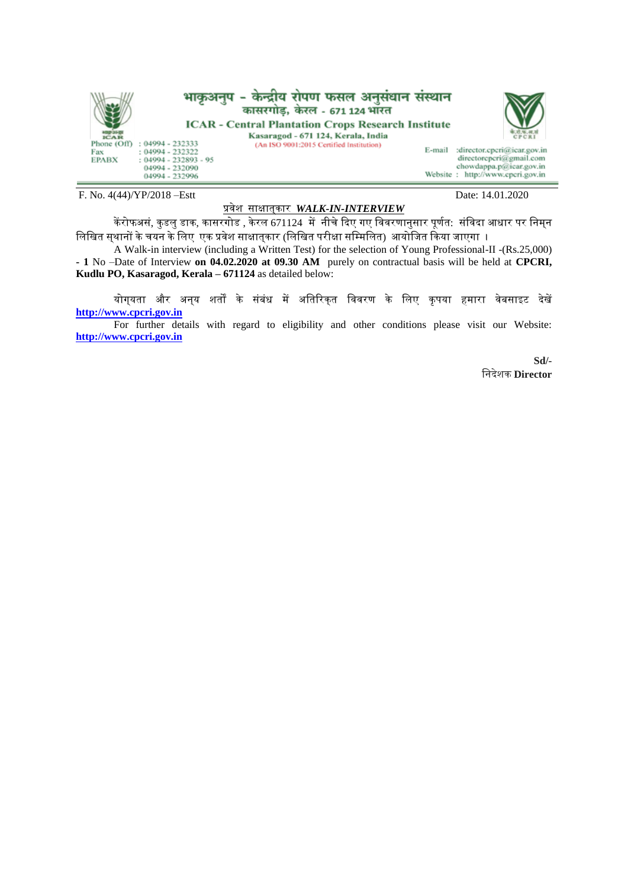

F. No. 4(44)/YP/2018 –Estt Date: 14.01.2020

## प्रवेश साक्षात्कार *WALK-IN-INTERVIEW*

केंरोफअसं, कुडलु डाक, कासरगोड , केरल 671124 में नीचे दिए गए विवरणानुसार पूर्णत: संविदा आधार पर निम्न विखित सुथानों के चयन के लिए एक प्रवेश साक्षातुकार (लिखित परीक्षा सम्मिलित) आयोजित किया जाएगा ।

A Walk-in interview (including a Written Test) for the selection of Young Professional-II -(Rs.25,000) **- 1** No –Date of Interview **on 04.02.2020 at 09.30 AM** purely on contractual basis will be held at **CPCRI, Kudlu PO, Kasaragod, Kerala – 671124** as detailed below:

योग्यता और अन्य शर्तों के संबंध में अतिरिक्त विवरण के लिए कृपया हमारा वेबसाइट देखें **[http://www.cpcri.gov.in](http://www.cpcri.gov.in/)**

For further details with regard to eligibility and other conditions please visit our Website: **[http://www.cpcri.gov.in](http://www.cpcri.gov.in/)**

> **Sd/-** वनदेशक **Director**